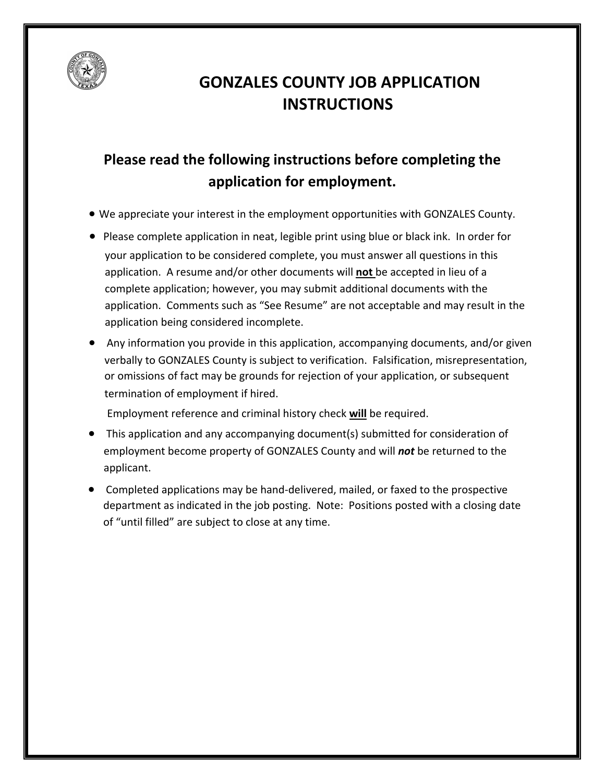

# **GONZALES COUNTY JOB APPLICATION INSTRUCTIONS**

# **Please read the following instructions before completing the application for employment.**

- We appreciate your interest in the employment opportunities with GONZALES County.
- Please complete application in neat, legible print using blue or black ink. In order for your application to be considered complete, you must answer all questions in this application. A resume and/or other documents will not be accepted in lieu of a complete application; however, you may submit additional documents with the application. Comments such as "See Resume" are not acceptable and may result in the application being considered incomplete.
- $\bullet$  Any information you provide in this application, accompanying documents, and/or given verbally to GONZALES County is subject to verification. Falsification, misrepresentation, or omissions of fact may be grounds for rejection of your application, or subsequent termination of employment if hired.

Employment reference and criminal history check **will** be required.

- $\bullet$  This application and any accompanying document(s) submitted for consideration of employment become property of GONZALES County and will *not* be returned to the applicant.
- Completed applications may be hand-delivered, mailed, or faxed to the prospective department as indicated in the job posting. Note: Positions posted with a closing date of "until filled" are subject to close at any time.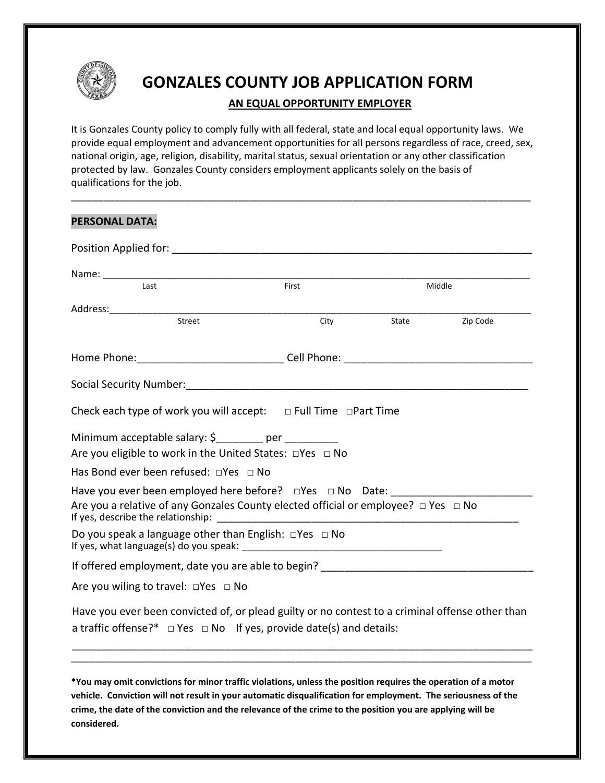

## **GONZALES COUNTY JOB APPLICATION FORM**

### **AN EQUAL OPPORTUNITY EMPLOYER**

It is Gonzales County policy to comply fully with all federal, state and local equal opportunity laws. We provide equal employment and advancement opportunities for all persons regardless of race, creed, sex, national origin, age, religion, disability, marital status, sexual orientation or any other classification protected by law. Gonzales County considers employment applicants solely on the basis of qualifications for the job.

| <b>PERSONAL DATA:</b>                                                                                                                                                            |       |        |          |
|----------------------------------------------------------------------------------------------------------------------------------------------------------------------------------|-------|--------|----------|
|                                                                                                                                                                                  |       |        |          |
|                                                                                                                                                                                  |       |        |          |
| Last                                                                                                                                                                             | First | Middle |          |
|                                                                                                                                                                                  |       |        |          |
| Street                                                                                                                                                                           | City  | State  | Zip Code |
|                                                                                                                                                                                  |       |        |          |
|                                                                                                                                                                                  |       |        |          |
| Check each type of work you will accept: $\Box$ Full Time $\Box$ Part Time                                                                                                       |       |        |          |
| Minimum acceptable salary: $\oint$ per<br>Are you eligible to work in the United States: $\Box$ Yes $\Box$ No                                                                    |       |        |          |
| Has Bond ever been refused: $\Box$ Yes $\Box$ No                                                                                                                                 |       |        |          |
| Have you ever been employed here before? $\Box$ Yes $\Box$ No Date:                                                                                                              |       |        |          |
| Are you a relative of any Gonzales County elected official or employee? □ Yes □ No<br>If yes, describe the relationship:                                                         |       |        |          |
| Do you speak a language other than English: $\Box$ Yes $\Box$ No                                                                                                                 |       |        |          |
| If offered employment, date you are able to begin?                                                                                                                               |       |        |          |
| Are you wiling to travel: $\Box$ Yes $\Box$ No                                                                                                                                   |       |        |          |
| Have you ever been convicted of, or plead guilty or no contest to a criminal offense other than<br>a traffic offense?* $\Box$ Yes $\Box$ No If yes, provide date(s) and details: |       |        |          |
|                                                                                                                                                                                  |       |        |          |

\*You may omit convictions for minor traffic violations, unless the position requires the operation of a motor **vehicle.Conviction will not result in your automatic disqualification for employment.The seriousness of the** crime, the date of the conviction and the relevance of the crime to the position you are applying will be **considered.**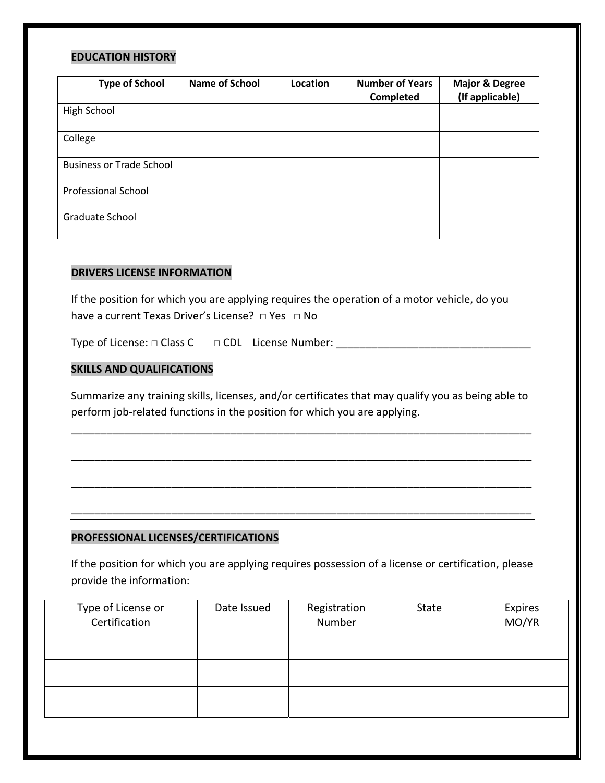#### **EDUCATION HISTORY**

| <b>Type of School</b>           | <b>Name of School</b> | Location | <b>Number of Years</b> | <b>Major &amp; Degree</b> |
|---------------------------------|-----------------------|----------|------------------------|---------------------------|
|                                 |                       |          | Completed              | (If applicable)           |
| High School                     |                       |          |                        |                           |
| College                         |                       |          |                        |                           |
| <b>Business or Trade School</b> |                       |          |                        |                           |
| <b>Professional School</b>      |                       |          |                        |                           |
| Graduate School                 |                       |          |                        |                           |

### **DRIVERS LICENSE INFORMATION**

If the position for which you are applying requires the operation of a motor vehicle, do you have a current Texas Driver's License?  $\Box$  Yes  $\Box$  No

Type of License:  $\Box$  Class C  $\Box$  CDL License Number:

### **SKILLS AND QUALIFICATIONS**

Summarize any training skills, licenses, and/or certificates that may qualify you as being able to perform job-related functions in the position for which you are applying.

\_\_\_\_\_\_\_\_\_\_\_\_\_\_\_\_\_\_\_\_\_\_\_\_\_\_\_\_\_\_\_\_\_\_\_\_\_\_\_\_\_\_\_\_\_\_\_\_\_\_\_\_\_\_\_\_\_\_\_\_\_\_\_\_\_\_\_\_\_\_\_\_\_\_\_\_\_\_

\_\_\_\_\_\_\_\_\_\_\_\_\_\_\_\_\_\_\_\_\_\_\_\_\_\_\_\_\_\_\_\_\_\_\_\_\_\_\_\_\_\_\_\_\_\_\_\_\_\_\_\_\_\_\_\_\_\_\_\_\_\_\_\_\_\_\_\_\_\_\_\_\_\_\_\_\_\_

\_\_\_\_\_\_\_\_\_\_\_\_\_\_\_\_\_\_\_\_\_\_\_\_\_\_\_\_\_\_\_\_\_\_\_\_\_\_\_\_\_\_\_\_\_\_\_\_\_\_\_\_\_\_\_\_\_\_\_\_\_\_\_\_\_\_\_\_\_\_\_\_\_\_\_\_\_\_

\_\_\_\_\_\_\_\_\_\_\_\_\_\_\_\_\_\_\_\_\_\_\_\_\_\_\_\_\_\_\_\_\_\_\_\_\_\_\_\_\_\_\_\_\_\_\_\_\_\_\_\_\_\_\_\_\_\_\_\_\_\_\_\_\_\_\_\_\_\_\_\_\_\_\_\_\_\_

### **PROFESSIONAL LICENSES/CERTIFICATIONS**

If the position for which you are applying requires possession of a license or certification, please provide the information:

| Type of License or<br>Certification | Date Issued | Registration<br>Number | State | Expires<br>MO/YR |
|-------------------------------------|-------------|------------------------|-------|------------------|
|                                     |             |                        |       |                  |
|                                     |             |                        |       |                  |
|                                     |             |                        |       |                  |
|                                     |             |                        |       |                  |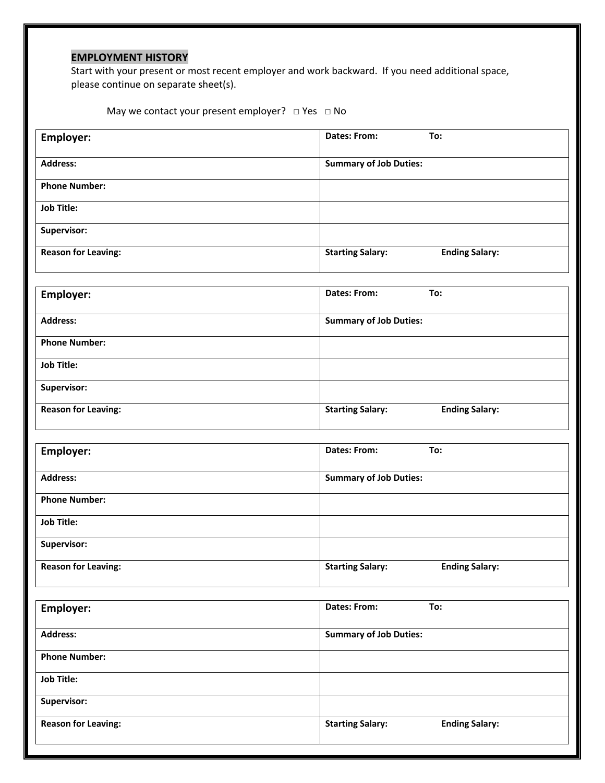## **EMPLOYMENT HISTORY**

Start with your present or most recent employer and work backward. If you need additional space, please continue on separate sheet(s).

May we contact your present employer?  $\Box$  Yes  $\Box$  No

| Employer:                  | <b>Dates: From:</b><br>To:                       |
|----------------------------|--------------------------------------------------|
| <b>Address:</b>            | <b>Summary of Job Duties:</b>                    |
| <b>Phone Number:</b>       |                                                  |
| <b>Job Title:</b>          |                                                  |
| Supervisor:                |                                                  |
| <b>Reason for Leaving:</b> | <b>Starting Salary:</b><br><b>Ending Salary:</b> |
|                            | <b>Dates: From:</b><br>To:                       |
| Employer:                  |                                                  |
| <b>Address:</b>            | <b>Summary of Job Duties:</b>                    |
| <b>Phone Number:</b>       |                                                  |
| <b>Job Title:</b>          |                                                  |
| Supervisor:                |                                                  |
| <b>Reason for Leaving:</b> | <b>Starting Salary:</b><br><b>Ending Salary:</b> |
|                            | Dates: From:<br>To:                              |
| Employer:                  |                                                  |
| <b>Address:</b>            | <b>Summary of Job Duties:</b>                    |
| <b>Phone Number:</b>       |                                                  |
| <b>Job Title:</b>          |                                                  |
| Supervisor:                |                                                  |
| <b>Reason for Leaving:</b> | <b>Starting Salary:</b><br><b>Ending Salary:</b> |
| <b>Employer:</b>           | To:<br>Dates: From:                              |
|                            |                                                  |
| <b>Address:</b>            | <b>Summary of Job Duties:</b>                    |
| <b>Phone Number:</b>       |                                                  |
| <b>Job Title:</b>          |                                                  |
| Supervisor:                |                                                  |
| <b>Reason for Leaving:</b> | <b>Starting Salary:</b><br><b>Ending Salary:</b> |
|                            |                                                  |